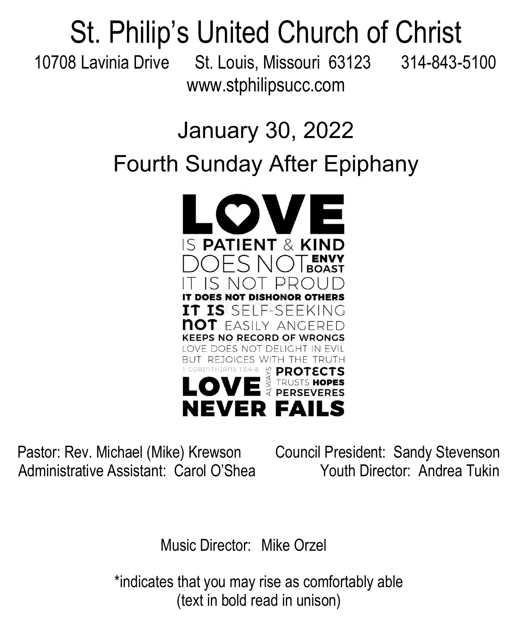# St. Philip's United Church of Christ

10708 Lavinia Drive St. Louis, Missouri 63123 314-843-5100 www.stphilipsucc.com

### January 30, 2022 Fourth Sunday After Epiphany



Pastor: Rev. Michael (Mike) Krewson Council President: Sandy Stevenson Administrative Assistant: Carol O'Shea Youth Director: Andrea Tukin

Music Director: Mike Orzel

\*indicates that you may rise as comfortably able (text in bold read in unison)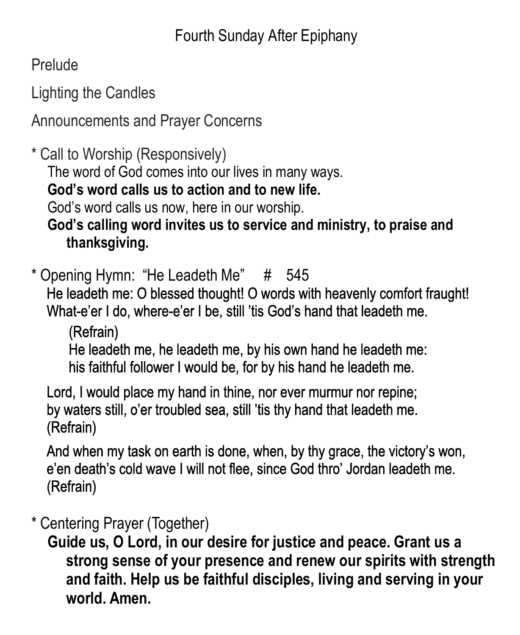**Prelude** 

Lighting the Candles

Announcements and Prayer Concerns

\* Call to Worship (Responsively)

The word of God comes into our lives in many ways.

**God's word calls us to action and to new life.**

God's word calls us now, here in our worship.

**God's calling word invites us to service and ministry, to praise and thanksgiving.**

\* Opening Hymn: "He Leadeth Me" # 545

He leadeth me: O blessed thought! O words with heavenly comfort fraught! What-e'er I do, where-e'er I be, still 'tis God's hand that leadeth me.

(Refrain)

He leadeth me, he leadeth me, by his own hand he leadeth me: his faithful follower I would be, for by his hand he leadeth me.

Lord, I would place my hand in thine, nor ever murmur nor repine; by waters still, o'er troubled sea, still 'tis thy hand that leadeth me. (Refrain)

And when my task on earth is done, when, by thy grace, the victory's won, e'en death's cold wave I will not flee, since God thro' Jordan leadeth me. (Refrain)

#### \* Centering Prayer (Together)

**Guide us, O Lord, in our desire for justice and peace. Grant us a strong sense of your presence and renew our spirits with strength and faith. Help us be faithful disciples, living and serving in your world. Amen.**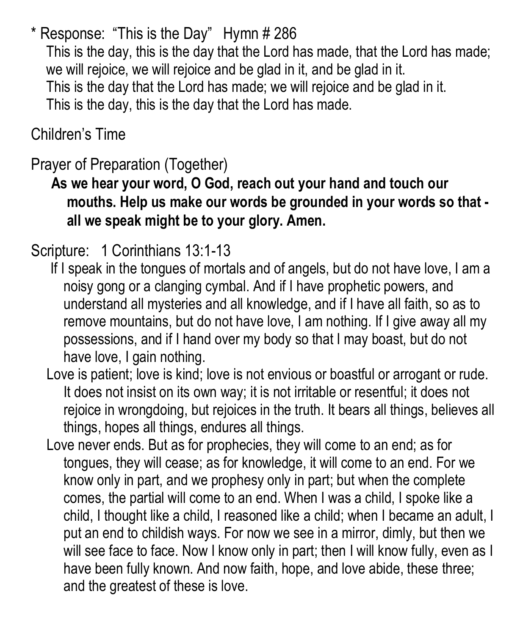\* Response: "This is the Day" Hymn # 286 This is the day, this is the day that the Lord has made, that the Lord has made; we will rejoice, we will rejoice and be glad in it, and be glad in it. This is the day that the Lord has made; we will rejoice and be glad in it. This is the day, this is the day that the Lord has made.

Children's Time

### Prayer of Preparation (Together)

 **As we hear your word, O God, reach out your hand and touch our mouths. Help us make our words be grounded in your words so that all we speak might be to your glory. Amen.**

#### Scripture: 1 Corinthians 13:1-13

- If I speak in the tongues of mortals and of angels, but do not have love, I am a noisy gong or a clanging cymbal. And if I have prophetic powers, and understand all mysteries and all knowledge, and if I have all faith, so as to remove mountains, but do not have love, I am nothing. If I give away all my possessions, and if I hand over my body so that I may boast, but do not have love, I gain nothing.
- Love is patient; love is kind; love is not envious or boastful or arrogant or rude. It does not insist on its own way; it is not irritable or resentful; it does not rejoice in wrongdoing, but rejoices in the truth. It bears all things, believes all things, hopes all things, endures all things.
- Love never ends. But as for prophecies, they will come to an end; as for tongues, they will cease; as for knowledge, it will come to an end. For we know only in part, and we prophesy only in part; but when the complete comes, the partial will come to an end. When I was a child, I spoke like a child, I thought like a child, I reasoned like a child; when I became an adult, I put an end to childish ways. For now we see in a mirror, dimly, but then we will see face to face. Now I know only in part; then I will know fully, even as I have been fully known. And now faith, hope, and love abide, these three; and the greatest of these is love.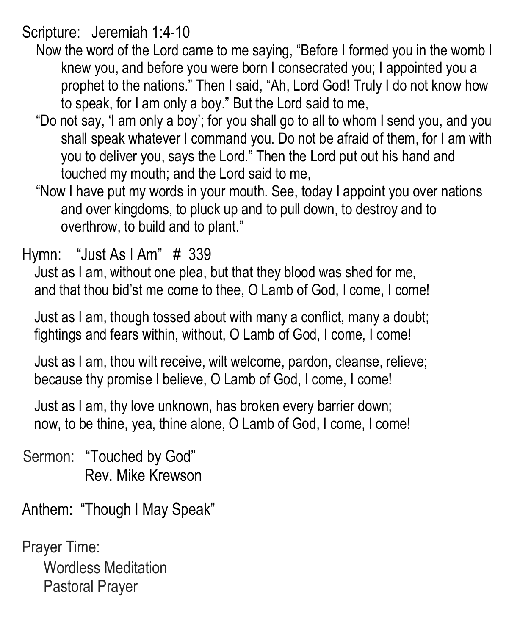Scripture: Jeremiah 1:4-10

- Now the word of the Lord came to me saying, "Before I formed you in the womb I knew you, and before you were born I consecrated you; I appointed you a prophet to the nations." Then I said, "Ah, Lord God! Truly I do not know how to speak, for I am only a boy." But the Lord said to me,
- "Do not say, 'I am only a boy'; for you shall go to all to whom I send you, and you shall speak whatever I command you. Do not be afraid of them, for I am with you to deliver you, says the Lord." Then the Lord put out his hand and touched my mouth; and the Lord said to me,
- "Now I have put my words in your mouth. See, today I appoint you over nations and over kingdoms, to pluck up and to pull down, to destroy and to overthrow, to build and to plant."

Hymn: "Just As I Am" # 339

Just as I am, without one plea, but that they blood was shed for me, and that thou bid'st me come to thee, O Lamb of God, I come, I come!

Just as I am, though tossed about with many a conflict, many a doubt; fightings and fears within, without, O Lamb of God, I come, I come!

Just as I am, thou wilt receive, wilt welcome, pardon, cleanse, relieve; because thy promise I believe, O Lamb of God, I come, I come!

Just as I am, thy love unknown, has broken every barrier down; now, to be thine, yea, thine alone, O Lamb of God, I come, I come!

Sermon: "Touched by God" Rev. Mike Krewson

Anthem: "Though I May Speak"

Prayer Time: Wordless Meditation Pastoral Prayer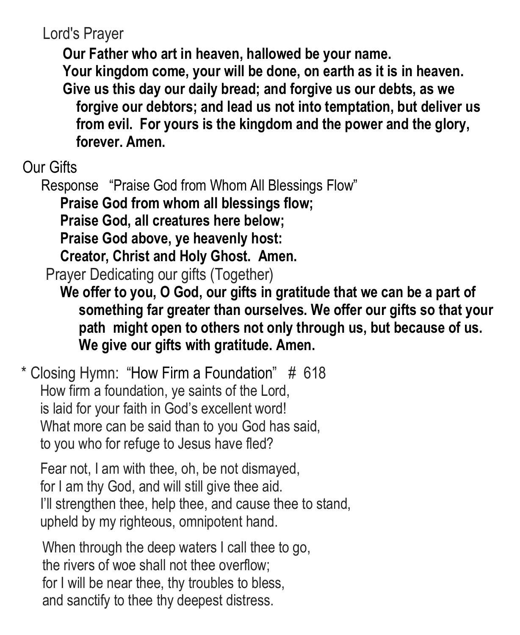Lord's Prayer

**Our Father who art in heaven, hallowed be your name.**

**Your kingdom come, your will be done, on earth as it is in heaven. Give us this day our daily bread; and forgive us our debts, as we forgive our debtors; and lead us not into temptation, but deliver us from evil. For yours is the kingdom and the power and the glory, forever. Amen.**

Our Gifts

Response "Praise God from Whom All Blessings Flow"

**Praise God from whom all blessings flow;** 

**Praise God, all creatures here below;**

**Praise God above, ye heavenly host:** 

**Creator, Christ and Holy Ghost. Amen.**

Prayer Dedicating our gifts (Together)

**We offer to you, O God, our gifts in gratitude that we can be a part of something far greater than ourselves. We offer our gifts so that your path might open to others not only through us, but because of us. We give our gifts with gratitude. Amen.** 

\* Closing Hymn: "How Firm a Foundation" # 618 How firm a foundation, ye saints of the Lord, is laid for your faith in God's excellent word! What more can be said than to you God has said, to you who for refuge to Jesus have fled?

Fear not, I am with thee, oh, be not dismayed, for I am thy God, and will still give thee aid. I'll strengthen thee, help thee, and cause thee to stand, upheld by my righteous, omnipotent hand.

When through the deep waters I call thee to go, the rivers of woe shall not thee overflow; for I will be near thee, thy troubles to bless, and sanctify to thee thy deepest distress.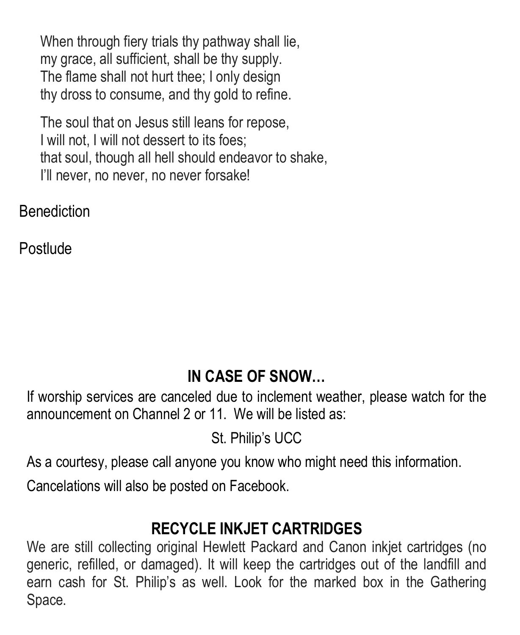When through fiery trials thy pathway shall lie, my grace, all sufficient, shall be thy supply. The flame shall not hurt thee; I only design thy dross to consume, and thy gold to refine.

The soul that on Jesus still leans for repose, I will not, I will not dessert to its foes; that soul, though all hell should endeavor to shake, I'll never, no never, no never forsake!

**Benediction** 

Postlude

#### **IN CASE OF SNOW…**

If worship services are canceled due to inclement weather, please watch for the announcement on Channel 2 or 11. We will be listed as:

St. Philip's UCC

As a courtesy, please call anyone you know who might need this information.

Cancelations will also be posted on Facebook.

#### **RECYCLE INKJET CARTRIDGES**

We are still collecting original Hewlett Packard and Canon inkjet cartridges (no generic, refilled, or damaged). It will keep the cartridges out of the landfill and earn cash for St. Philip's as well. Look for the marked box in the Gathering Space.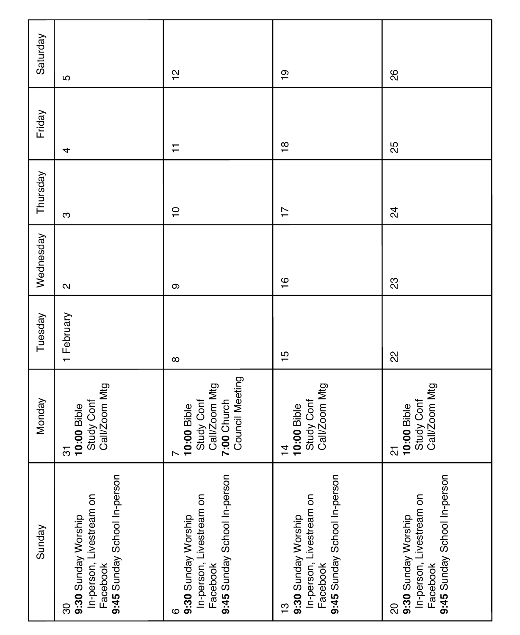| Sunday                                                                                                  | Monday                                                                            | Tuesday        | Wednesday     | Thursday       | Friday         | Saturday      |
|---------------------------------------------------------------------------------------------------------|-----------------------------------------------------------------------------------|----------------|---------------|----------------|----------------|---------------|
| 9:45 Sunday School In-person<br>In-person, Livestream on<br>9:30 Sunday Worship<br>Facebook<br>ౚ        | Study Conf<br>Call/Zoom Mtg<br>10:00 Bible<br>75                                  | 1 February     | $\sim$        | ო              | 4              | 5             |
| 9:45 Sunday School In-person<br>In-person, Livestream on<br>9:30 Sunday Worship<br>Facebook<br>ဖ        | Council Meeting<br>Call/Zoom Mtg<br>7:00 Church<br>Study Conf<br>10:00 Bible<br>∼ | $\infty$       | თ             | $\overline{C}$ | ∓              | $\frac{1}{2}$ |
| 9:45 Sunday School In-person<br>In-person, Livestream on<br>9:30 Sunday Worship<br>Facebook<br><u>ო</u> | Study Conf<br>Call/Zoom Mtg<br>10:00 Bible<br>$\frac{4}{4}$                       | $\frac{15}{1}$ | $\frac{6}{1}$ | $\overline{1}$ | $\frac{8}{10}$ | စ္            |
| 9:45 Sunday School In-person<br>In-person, Livestream on<br>9:30 Sunday Worship<br>Facebook<br>႙        | Call/Zoom Mtg<br>Study Conf<br>10:00 Bible<br><u>인</u>                            | 22             | 33            | $\overline{2}$ | ξŚ             | 88            |